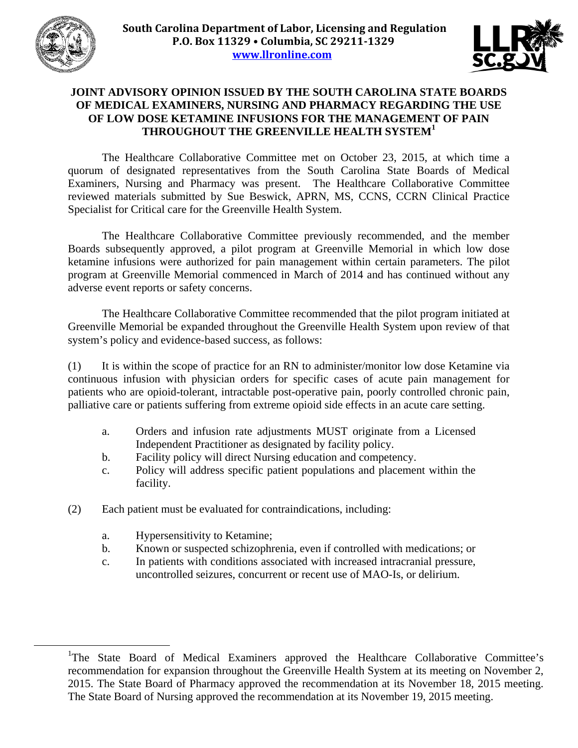



## **JOINT ADVISORY OPINION ISSUED BY THE SOUTH CAROLINA STATE BOARDS OF MEDICAL EXAMINERS, NURSING AND PHARMACY REGARDING THE USE OF LOW DOSE KETAMINE INFUSIONS FOR THE MANAGEMENT OF PAIN THROUGHOUT THE GREENVILLE HEALTH SYSTEM<sup>1</sup>**

 The Healthcare Collaborative Committee met on October 23, 2015, at which time a quorum of designated representatives from the South Carolina State Boards of Medical Examiners, Nursing and Pharmacy was present. The Healthcare Collaborative Committee reviewed materials submitted by Sue Beswick, APRN, MS, CCNS, CCRN Clinical Practice Specialist for Critical care for the Greenville Health System.

 The Healthcare Collaborative Committee previously recommended, and the member Boards subsequently approved, a pilot program at Greenville Memorial in which low dose ketamine infusions were authorized for pain management within certain parameters. The pilot program at Greenville Memorial commenced in March of 2014 and has continued without any adverse event reports or safety concerns.

 The Healthcare Collaborative Committee recommended that the pilot program initiated at Greenville Memorial be expanded throughout the Greenville Health System upon review of that system's policy and evidence-based success, as follows:

(1) It is within the scope of practice for an RN to administer/monitor low dose Ketamine via continuous infusion with physician orders for specific cases of acute pain management for patients who are opioid-tolerant, intractable post-operative pain, poorly controlled chronic pain, palliative care or patients suffering from extreme opioid side effects in an acute care setting.

- a. Orders and infusion rate adjustments MUST originate from a Licensed Independent Practitioner as designated by facility policy.
- b. Facility policy will direct Nursing education and competency.
- c. Policy will address specific patient populations and placement within the facility.
- (2) Each patient must be evaluated for contraindications, including:
	- a. Hypersensitivity to Ketamine;
	- b. Known or suspected schizophrenia, even if controlled with medications; or
	- c. In patients with conditions associated with increased intracranial pressure, uncontrolled seizures, concurrent or recent use of MAO-Is, or delirium.

<sup>&</sup>lt;u>1</u> <sup>1</sup>The State Board of Medical Examiners approved the Healthcare Collaborative Committee's recommendation for expansion throughout the Greenville Health System at its meeting on November 2, 2015. The State Board of Pharmacy approved the recommendation at its November 18, 2015 meeting. The State Board of Nursing approved the recommendation at its November 19, 2015 meeting.